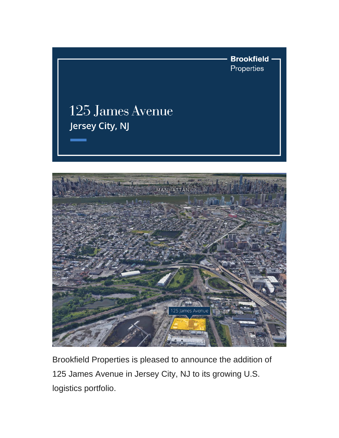



Brookfield Properties is pleased to announce the addition of 125 James Avenue in Jersey City, NJ to its growing U.S. logistics portfolio.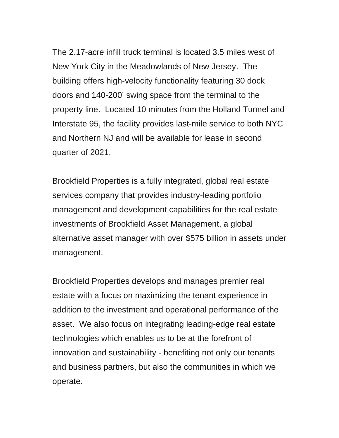The 2.17-acre infill truck terminal is located 3.5 miles west of New York City in the Meadowlands of New Jersey. The building offers high-velocity functionality featuring 30 dock doors and 140-200' swing space from the terminal to the property line. Located 10 minutes from the Holland Tunnel and Interstate 95, the facility provides last-mile service to both NYC and Northern NJ and will be available for lease in second quarter of 2021.

Brookfield Properties is a fully integrated, global real estate services company that provides industry-leading portfolio management and development capabilities for the real estate investments of Brookfield Asset Management, a global alternative asset manager with over \$575 billion in assets under management.

Brookfield Properties develops and manages premier real estate with a focus on maximizing the tenant experience in addition to the investment and operational performance of the asset. We also focus on integrating leading-edge real estate technologies which enables us to be at the forefront of innovation and sustainability - benefiting not only our tenants and business partners, but also the communities in which we operate.